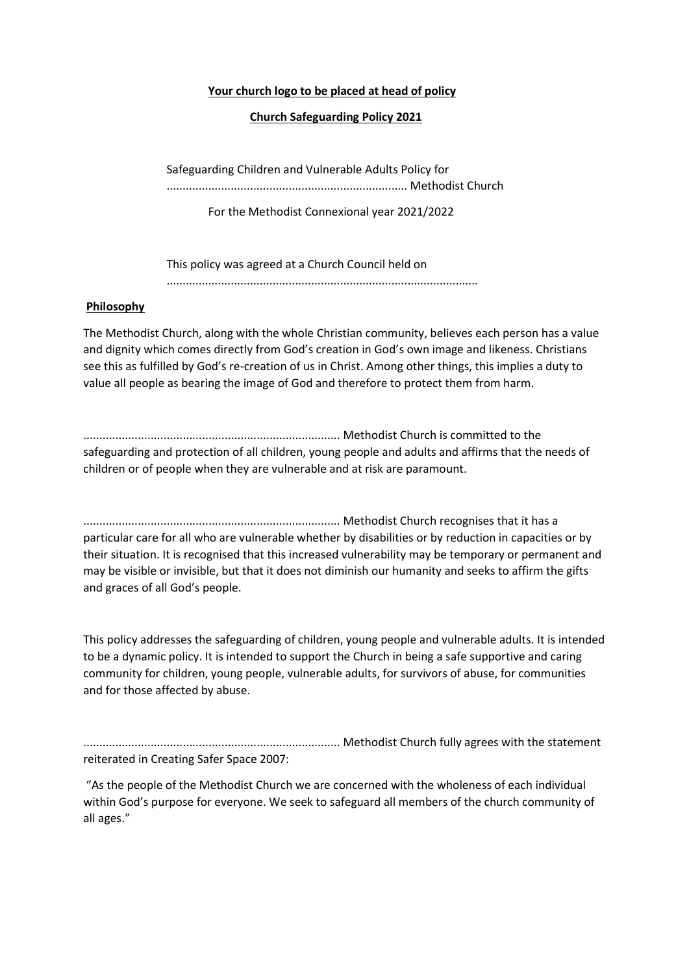#### Your church logo to be placed at head of policy

### Church Safeguarding Policy 2021

Safeguarding Children and Vulnerable Adults Policy for ........................................................................... Methodist Church

For the Methodist Connexional year 2021/2022

This policy was agreed at a Church Council held on .................................................................................................

## Philosophy

The Methodist Church, along with the whole Christian community, believes each person has a value and dignity which comes directly from God's creation in God's own image and likeness. Christians see this as fulfilled by God's re-creation of us in Christ. Among other things, this implies a duty to value all people as bearing the image of God and therefore to protect them from harm.

................................................................................ Methodist Church is committed to the safeguarding and protection of all children, young people and adults and affirms that the needs of children or of people when they are vulnerable and at risk are paramount.

................................................................................ Methodist Church recognises that it has a particular care for all who are vulnerable whether by disabilities or by reduction in capacities or by their situation. It is recognised that this increased vulnerability may be temporary or permanent and may be visible or invisible, but that it does not diminish our humanity and seeks to affirm the gifts and graces of all God's people.

This policy addresses the safeguarding of children, young people and vulnerable adults. It is intended to be a dynamic policy. It is intended to support the Church in being a safe supportive and caring community for children, young people, vulnerable adults, for survivors of abuse, for communities and for those affected by abuse.

................................................................................ Methodist Church fully agrees with the statement reiterated in Creating Safer Space 2007:

 "As the people of the Methodist Church we are concerned with the wholeness of each individual within God's purpose for everyone. We seek to safeguard all members of the church community of all ages."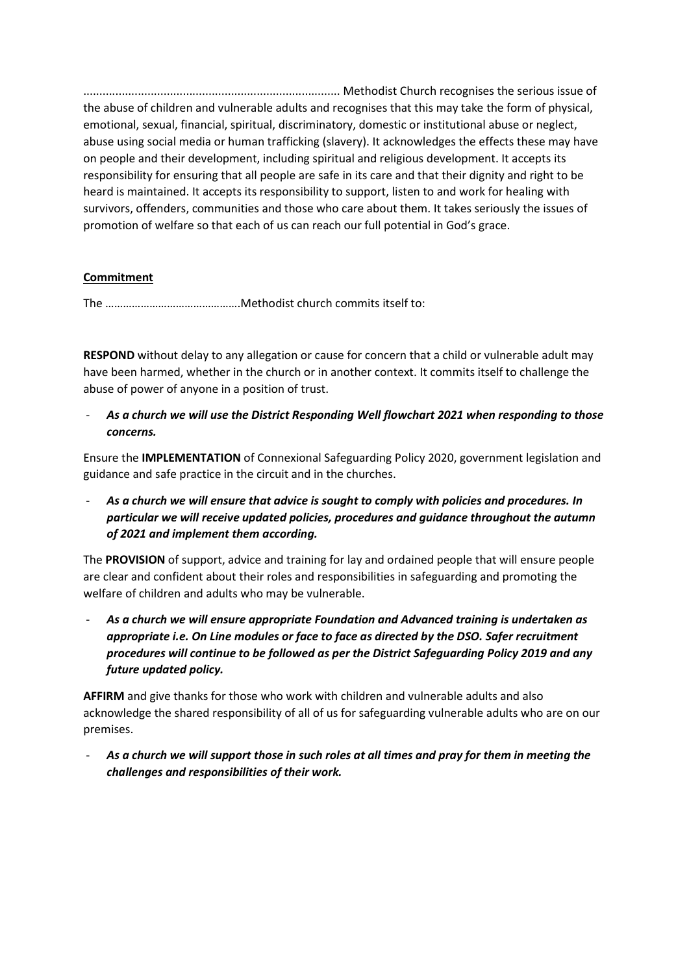................................................................................ Methodist Church recognises the serious issue of the abuse of children and vulnerable adults and recognises that this may take the form of physical, emotional, sexual, financial, spiritual, discriminatory, domestic or institutional abuse or neglect, abuse using social media or human trafficking (slavery). It acknowledges the effects these may have on people and their development, including spiritual and religious development. It accepts its responsibility for ensuring that all people are safe in its care and that their dignity and right to be heard is maintained. It accepts its responsibility to support, listen to and work for healing with survivors, offenders, communities and those who care about them. It takes seriously the issues of promotion of welfare so that each of us can reach our full potential in God's grace.

# Commitment

The ……………………………………….Methodist church commits itself to:

RESPOND without delay to any allegation or cause for concern that a child or vulnerable adult may have been harmed, whether in the church or in another context. It commits itself to challenge the abuse of power of anyone in a position of trust.

As a church we will use the District Responding Well flowchart 2021 when responding to those concerns.

Ensure the IMPLEMENTATION of Connexional Safeguarding Policy 2020, government legislation and guidance and safe practice in the circuit and in the churches.

As a church we will ensure that advice is sought to comply with policies and procedures. In particular we will receive updated policies, procedures and guidance throughout the autumn of 2021 and implement them according.

The PROVISION of support, advice and training for lay and ordained people that will ensure people are clear and confident about their roles and responsibilities in safeguarding and promoting the welfare of children and adults who may be vulnerable.

As a church we will ensure appropriate Foundation and Advanced training is undertaken as appropriate i.e. On Line modules or face to face as directed by the DSO. Safer recruitment procedures will continue to be followed as per the District Safeguarding Policy 2019 and any future updated policy.

AFFIRM and give thanks for those who work with children and vulnerable adults and also acknowledge the shared responsibility of all of us for safeguarding vulnerable adults who are on our premises.

As a church we will support those in such roles at all times and pray for them in meeting the challenges and responsibilities of their work.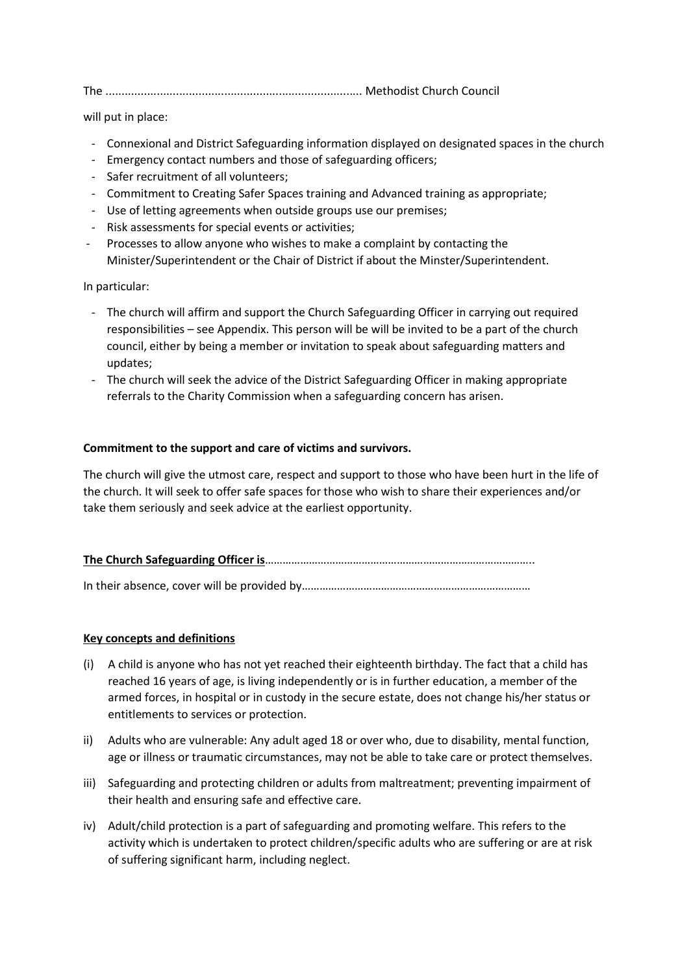The ................................................................................ Methodist Church Council

will put in place:

- Connexional and District Safeguarding information displayed on designated spaces in the church
- Emergency contact numbers and those of safeguarding officers;
- Safer recruitment of all volunteers;
- Commitment to Creating Safer Spaces training and Advanced training as appropriate;
- Use of letting agreements when outside groups use our premises;
- Risk assessments for special events or activities;
- Processes to allow anyone who wishes to make a complaint by contacting the Minister/Superintendent or the Chair of District if about the Minster/Superintendent.

In particular:

- The church will affirm and support the Church Safeguarding Officer in carrying out required responsibilities – see Appendix. This person will be will be invited to be a part of the church council, either by being a member or invitation to speak about safeguarding matters and updates;
- The church will seek the advice of the District Safeguarding Officer in making appropriate referrals to the Charity Commission when a safeguarding concern has arisen.

#### Commitment to the support and care of victims and survivors.

The church will give the utmost care, respect and support to those who have been hurt in the life of the church. It will seek to offer safe spaces for those who wish to share their experiences and/or take them seriously and seek advice at the earliest opportunity.

|--|--|

In their absence, cover will be provided by……………………………………………………………………

#### Key concepts and definitions

- (i) A child is anyone who has not yet reached their eighteenth birthday. The fact that a child has reached 16 years of age, is living independently or is in further education, a member of the armed forces, in hospital or in custody in the secure estate, does not change his/her status or entitlements to services or protection.
- ii) Adults who are vulnerable: Any adult aged 18 or over who, due to disability, mental function, age or illness or traumatic circumstances, may not be able to take care or protect themselves.
- iii) Safeguarding and protecting children or adults from maltreatment; preventing impairment of their health and ensuring safe and effective care.
- iv) Adult/child protection is a part of safeguarding and promoting welfare. This refers to the activity which is undertaken to protect children/specific adults who are suffering or are at risk of suffering significant harm, including neglect.